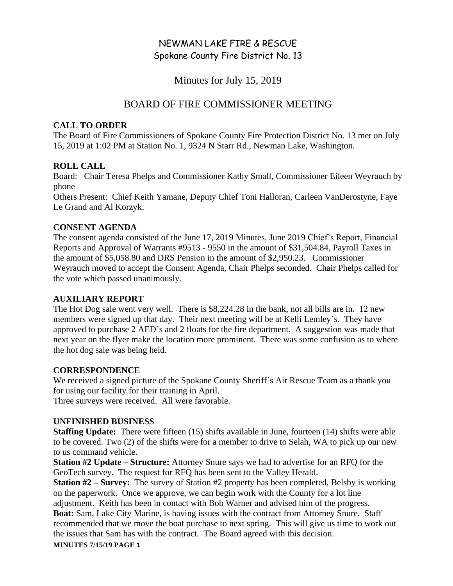# NEWMAN LAKE FIRE & RESCUE Spokane County Fire District No. 13

Minutes for July 15, 2019

## BOARD OF FIRE COMMISSIONER MEETING

### **CALL TO ORDER**

The Board of Fire Commissioners of Spokane County Fire Protection District No. 13 met on July 15, 2019 at 1:02 PM at Station No. 1, 9324 N Starr Rd., Newman Lake, Washington.

## **ROLL CALL**

Board: Chair Teresa Phelps and Commissioner Kathy Small, Commissioner Eileen Weyrauch by phone

Others Present: Chief Keith Yamane, Deputy Chief Toni Halloran, Carleen VanDerostyne, Faye Le Grand and Al Korzyk.

## **CONSENT AGENDA**

The consent agenda consisted of the June 17, 2019 Minutes, June 2019 Chief's Report, Financial Reports and Approval of Warrants #9513 - 9550 in the amount of \$31,504.84, Payroll Taxes in the amount of \$5,058.80 and DRS Pension in the amount of \$2,950.23. Commissioner Weyrauch moved to accept the Consent Agenda, Chair Phelps seconded. Chair Phelps called for the vote which passed unanimously.

## **AUXILIARY REPORT**

The Hot Dog sale went very well. There is \$8,224.28 in the bank, not all bills are in. 12 new members were signed up that day. Their next meeting will be at Kelli Lemley's. They have approved to purchase 2 AED's and 2 floats for the fire department. A suggestion was made that next year on the flyer make the location more prominent. There was some confusion as to where the hot dog sale was being held.

## **CORRESPONDENCE**

We received a signed picture of the Spokane County Sheriff's Air Rescue Team as a thank you for using our facility for their training in April.

Three surveys were received. All were favorable.

## **UNFINISHED BUSINESS**

**Staffing Update:** There were fifteen (15) shifts available in June, fourteen (14) shifts were able to be covered. Two (2) of the shifts were for a member to drive to Selah, WA to pick up our new to us command vehicle.

**Station #2 Update – Structure:** Attorney Snure says we had to advertise for an RFQ for the GeoTech survey. The request for RFQ has been sent to the Valley Herald.

**Station #2 – Survey:** The survey of Station #2 property has been completed, Belsby is working on the paperwork. Once we approve, we can begin work with the County for a lot line adjustment. Keith has been in contact with Bob Warner and advised him of the progress. **Boat:** Sam, Lake City Marine, is having issues with the contract from Attorney Snure. Staff recommended that we move the boat purchase to next spring. This will give us time to work out the issues that Sam has with the contract. The Board agreed with this decision.

#### **MINUTES 7/15/19 PAGE 1**